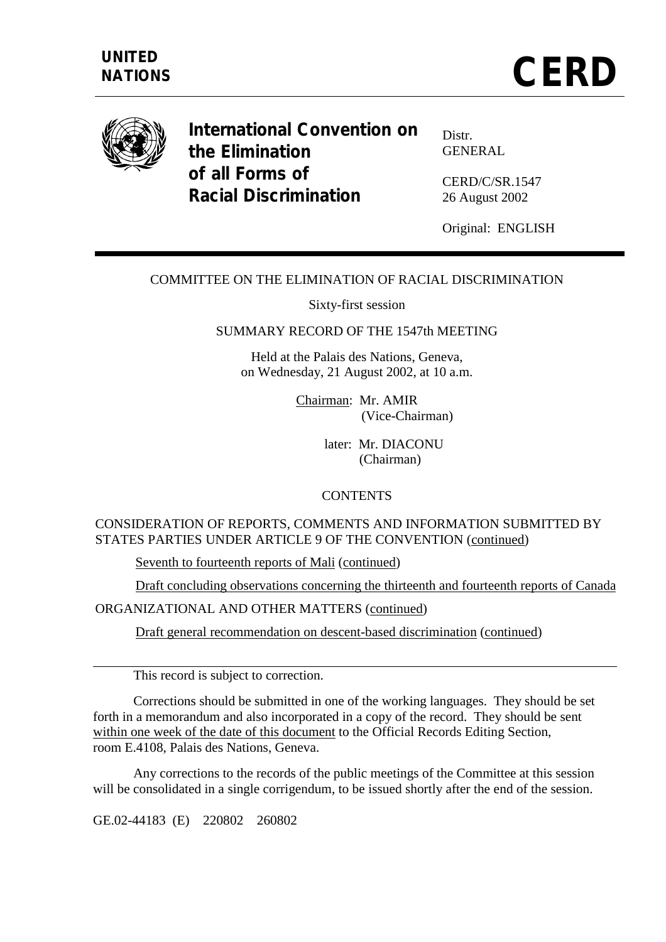

**International Convention on the Elimination of all Forms of Racial Discrimination** 

Distr. GENERAL

CERD/C/SR.1547 26 August 2002

Original: ENGLISH

#### COMMITTEE ON THE ELIMINATION OF RACIAL DISCRIMINATION

Sixty-first session

#### SUMMARY RECORD OF THE 1547th MEETING

Held at the Palais des Nations, Geneva, on Wednesday, 21 August 2002, at 10 a.m.

> Chairman: Mr. AMIR (Vice-Chairman)

> > later: Mr. DIACONU (Chairman)

#### **CONTENTS**

#### CONSIDERATION OF REPORTS, COMMENTS AND INFORMATION SUBMITTED BY STATES PARTIES UNDER ARTICLE 9 OF THE CONVENTION (continued)

Seventh to fourteenth reports of Mali (continued)

Draft concluding observations concerning the thirteenth and fourteenth reports of Canada

ORGANIZATIONAL AND OTHER MATTERS (continued)

Draft general recommendation on descent-based discrimination (continued)

This record is subject to correction.

 Corrections should be submitted in one of the working languages. They should be set forth in a memorandum and also incorporated in a copy of the record. They should be sent within one week of the date of this document to the Official Records Editing Section, room E.4108, Palais des Nations, Geneva.

 Any corrections to the records of the public meetings of the Committee at this session will be consolidated in a single corrigendum, to be issued shortly after the end of the session.

GE.02-44183 (E) 220802 260802

 $\overline{a}$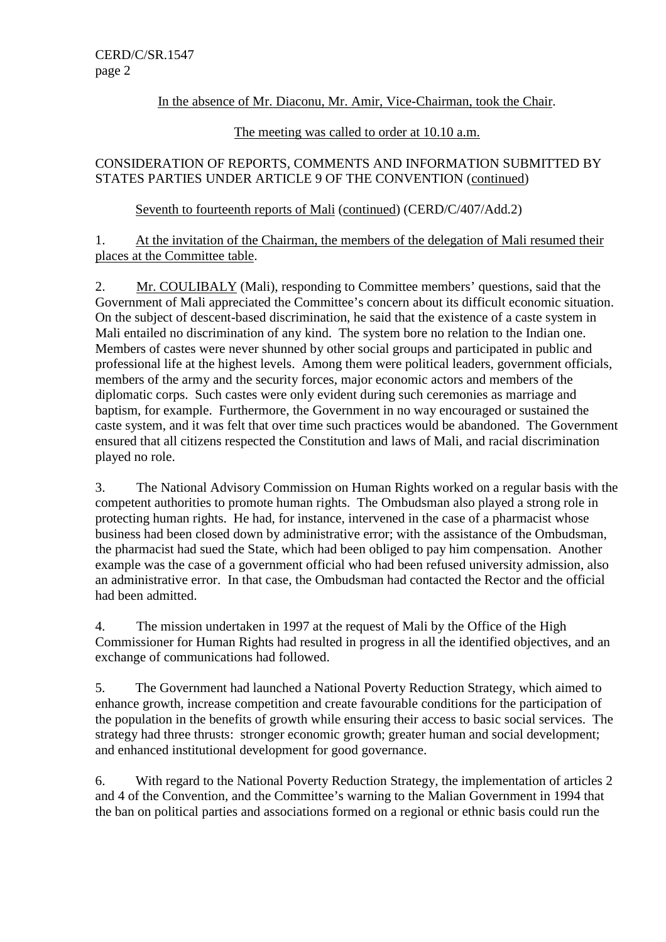# In the absence of Mr. Diaconu, Mr. Amir, Vice-Chairman, took the Chair.

## The meeting was called to order at 10.10 a.m.

# CONSIDERATION OF REPORTS, COMMENTS AND INFORMATION SUBMITTED BY STATES PARTIES UNDER ARTICLE 9 OF THE CONVENTION (continued)

# Seventh to fourteenth reports of Mali (continued) (CERD/C/407/Add.2)

# 1. At the invitation of the Chairman, the members of the delegation of Mali resumed their places at the Committee table.

2. Mr. COULIBALY (Mali), responding to Committee members' questions, said that the Government of Mali appreciated the Committee's concern about its difficult economic situation. On the subject of descent-based discrimination, he said that the existence of a caste system in Mali entailed no discrimination of any kind. The system bore no relation to the Indian one. Members of castes were never shunned by other social groups and participated in public and professional life at the highest levels. Among them were political leaders, government officials, members of the army and the security forces, major economic actors and members of the diplomatic corps. Such castes were only evident during such ceremonies as marriage and baptism, for example. Furthermore, the Government in no way encouraged or sustained the caste system, and it was felt that over time such practices would be abandoned. The Government ensured that all citizens respected the Constitution and laws of Mali, and racial discrimination played no role.

3. The National Advisory Commission on Human Rights worked on a regular basis with the competent authorities to promote human rights. The Ombudsman also played a strong role in protecting human rights. He had, for instance, intervened in the case of a pharmacist whose business had been closed down by administrative error; with the assistance of the Ombudsman, the pharmacist had sued the State, which had been obliged to pay him compensation. Another example was the case of a government official who had been refused university admission, also an administrative error. In that case, the Ombudsman had contacted the Rector and the official had been admitted.

4. The mission undertaken in 1997 at the request of Mali by the Office of the High Commissioner for Human Rights had resulted in progress in all the identified objectives, and an exchange of communications had followed.

5. The Government had launched a National Poverty Reduction Strategy, which aimed to enhance growth, increase competition and create favourable conditions for the participation of the population in the benefits of growth while ensuring their access to basic social services. The strategy had three thrusts: stronger economic growth; greater human and social development; and enhanced institutional development for good governance.

6. With regard to the National Poverty Reduction Strategy, the implementation of articles 2 and 4 of the Convention, and the Committee's warning to the Malian Government in 1994 that the ban on political parties and associations formed on a regional or ethnic basis could run the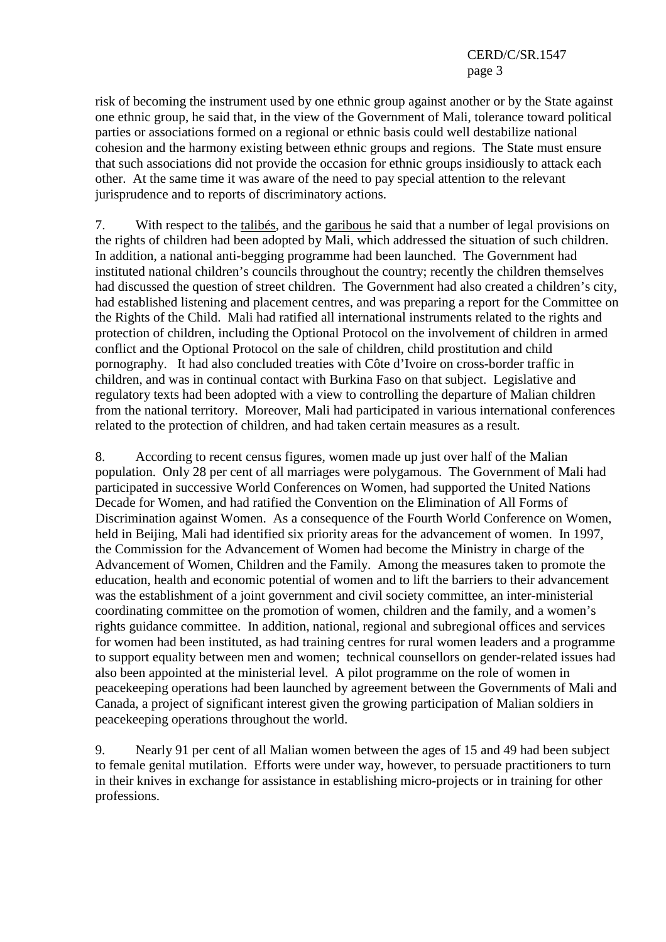risk of becoming the instrument used by one ethnic group against another or by the State against one ethnic group, he said that, in the view of the Government of Mali, tolerance toward political parties or associations formed on a regional or ethnic basis could well destabilize national cohesion and the harmony existing between ethnic groups and regions. The State must ensure that such associations did not provide the occasion for ethnic groups insidiously to attack each other. At the same time it was aware of the need to pay special attention to the relevant jurisprudence and to reports of discriminatory actions.

7. With respect to the talibés, and the garibous he said that a number of legal provisions on the rights of children had been adopted by Mali, which addressed the situation of such children. In addition, a national anti-begging programme had been launched. The Government had instituted national children's councils throughout the country; recently the children themselves had discussed the question of street children. The Government had also created a children's city, had established listening and placement centres, and was preparing a report for the Committee on the Rights of the Child. Mali had ratified all international instruments related to the rights and protection of children, including the Optional Protocol on the involvement of children in armed conflict and the Optional Protocol on the sale of children, child prostitution and child pornography. It had also concluded treaties with Côte d'Ivoire on cross-border traffic in children, and was in continual contact with Burkina Faso on that subject. Legislative and regulatory texts had been adopted with a view to controlling the departure of Malian children from the national territory. Moreover, Mali had participated in various international conferences related to the protection of children, and had taken certain measures as a result.

8. According to recent census figures, women made up just over half of the Malian population. Only 28 per cent of all marriages were polygamous. The Government of Mali had participated in successive World Conferences on Women, had supported the United Nations Decade for Women, and had ratified the Convention on the Elimination of All Forms of Discrimination against Women. As a consequence of the Fourth World Conference on Women, held in Beijing, Mali had identified six priority areas for the advancement of women. In 1997, the Commission for the Advancement of Women had become the Ministry in charge of the Advancement of Women, Children and the Family. Among the measures taken to promote the education, health and economic potential of women and to lift the barriers to their advancement was the establishment of a joint government and civil society committee, an inter-ministerial coordinating committee on the promotion of women, children and the family, and a women's rights guidance committee. In addition, national, regional and subregional offices and services for women had been instituted, as had training centres for rural women leaders and a programme to support equality between men and women; technical counsellors on gender-related issues had also been appointed at the ministerial level. A pilot programme on the role of women in peacekeeping operations had been launched by agreement between the Governments of Mali and Canada, a project of significant interest given the growing participation of Malian soldiers in peacekeeping operations throughout the world.

9. Nearly 91 per cent of all Malian women between the ages of 15 and 49 had been subject to female genital mutilation. Efforts were under way, however, to persuade practitioners to turn in their knives in exchange for assistance in establishing micro-projects or in training for other professions.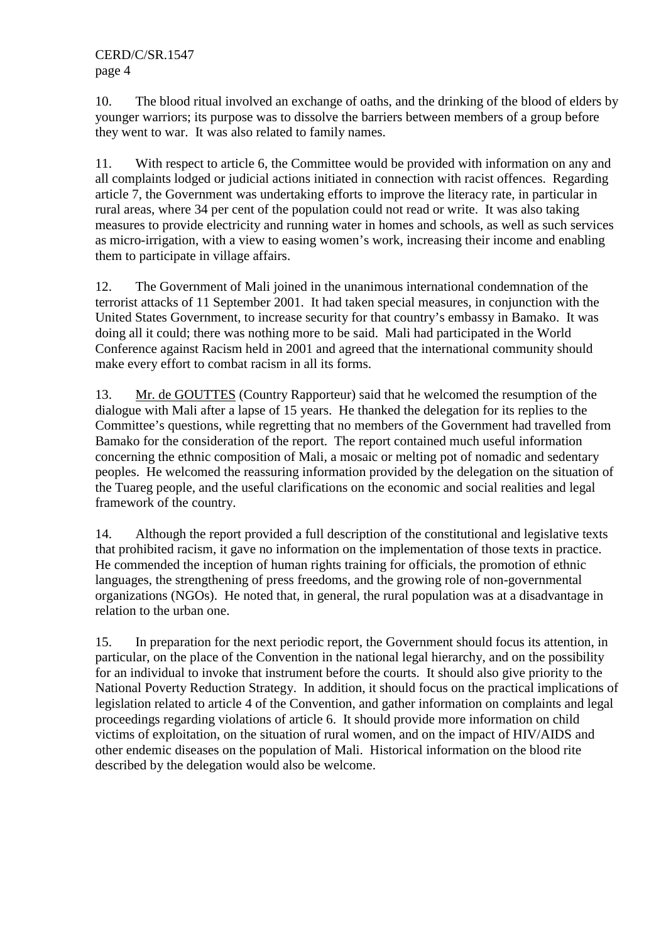10. The blood ritual involved an exchange of oaths, and the drinking of the blood of elders by younger warriors; its purpose was to dissolve the barriers between members of a group before they went to war. It was also related to family names.

11. With respect to article 6, the Committee would be provided with information on any and all complaints lodged or judicial actions initiated in connection with racist offences. Regarding article 7, the Government was undertaking efforts to improve the literacy rate, in particular in rural areas, where 34 per cent of the population could not read or write. It was also taking measures to provide electricity and running water in homes and schools, as well as such services as micro-irrigation, with a view to easing women's work, increasing their income and enabling them to participate in village affairs.

12. The Government of Mali joined in the unanimous international condemnation of the terrorist attacks of 11 September 2001. It had taken special measures, in conjunction with the United States Government, to increase security for that country's embassy in Bamako. It was doing all it could; there was nothing more to be said. Mali had participated in the World Conference against Racism held in 2001 and agreed that the international community should make every effort to combat racism in all its forms.

13. Mr. de GOUTTES (Country Rapporteur) said that he welcomed the resumption of the dialogue with Mali after a lapse of 15 years. He thanked the delegation for its replies to the Committee's questions, while regretting that no members of the Government had travelled from Bamako for the consideration of the report. The report contained much useful information concerning the ethnic composition of Mali, a mosaic or melting pot of nomadic and sedentary peoples. He welcomed the reassuring information provided by the delegation on the situation of the Tuareg people, and the useful clarifications on the economic and social realities and legal framework of the country.

14. Although the report provided a full description of the constitutional and legislative texts that prohibited racism, it gave no information on the implementation of those texts in practice. He commended the inception of human rights training for officials, the promotion of ethnic languages, the strengthening of press freedoms, and the growing role of non-governmental organizations (NGOs). He noted that, in general, the rural population was at a disadvantage in relation to the urban one.

15. In preparation for the next periodic report, the Government should focus its attention, in particular, on the place of the Convention in the national legal hierarchy, and on the possibility for an individual to invoke that instrument before the courts. It should also give priority to the National Poverty Reduction Strategy. In addition, it should focus on the practical implications of legislation related to article 4 of the Convention, and gather information on complaints and legal proceedings regarding violations of article 6. It should provide more information on child victims of exploitation, on the situation of rural women, and on the impact of HIV/AIDS and other endemic diseases on the population of Mali. Historical information on the blood rite described by the delegation would also be welcome.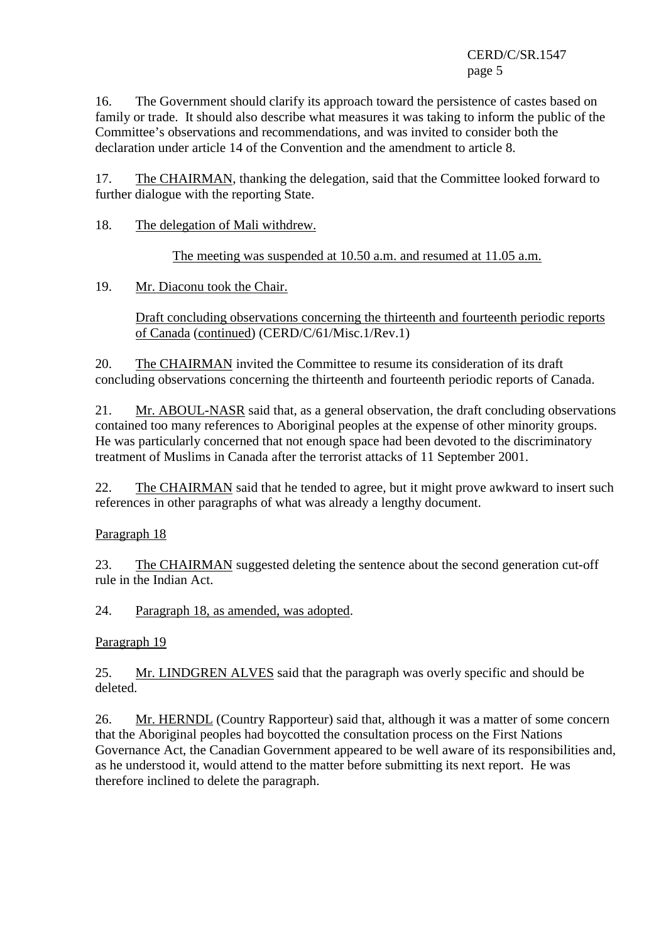16. The Government should clarify its approach toward the persistence of castes based on family or trade. It should also describe what measures it was taking to inform the public of the Committee's observations and recommendations, and was invited to consider both the declaration under article 14 of the Convention and the amendment to article 8.

17. The CHAIRMAN, thanking the delegation, said that the Committee looked forward to further dialogue with the reporting State.

18. The delegation of Mali withdrew.

The meeting was suspended at 10.50 a.m. and resumed at 11.05 a.m.

19. Mr. Diaconu took the Chair.

 Draft concluding observations concerning the thirteenth and fourteenth periodic reports of Canada (continued) (CERD/C/61/Misc.1/Rev.1)

20. The CHAIRMAN invited the Committee to resume its consideration of its draft concluding observations concerning the thirteenth and fourteenth periodic reports of Canada.

21. Mr. ABOUL-NASR said that, as a general observation, the draft concluding observations contained too many references to Aboriginal peoples at the expense of other minority groups. He was particularly concerned that not enough space had been devoted to the discriminatory treatment of Muslims in Canada after the terrorist attacks of 11 September 2001.

22. The CHAIRMAN said that he tended to agree, but it might prove awkward to insert such references in other paragraphs of what was already a lengthy document.

Paragraph 18

23. The CHAIRMAN suggested deleting the sentence about the second generation cut-off rule in the Indian Act.

24. Paragraph 18, as amended, was adopted.

Paragraph 19

25. Mr. LINDGREN ALVES said that the paragraph was overly specific and should be deleted.

26. Mr. HERNDL (Country Rapporteur) said that, although it was a matter of some concern that the Aboriginal peoples had boycotted the consultation process on the First Nations Governance Act, the Canadian Government appeared to be well aware of its responsibilities and, as he understood it, would attend to the matter before submitting its next report. He was therefore inclined to delete the paragraph.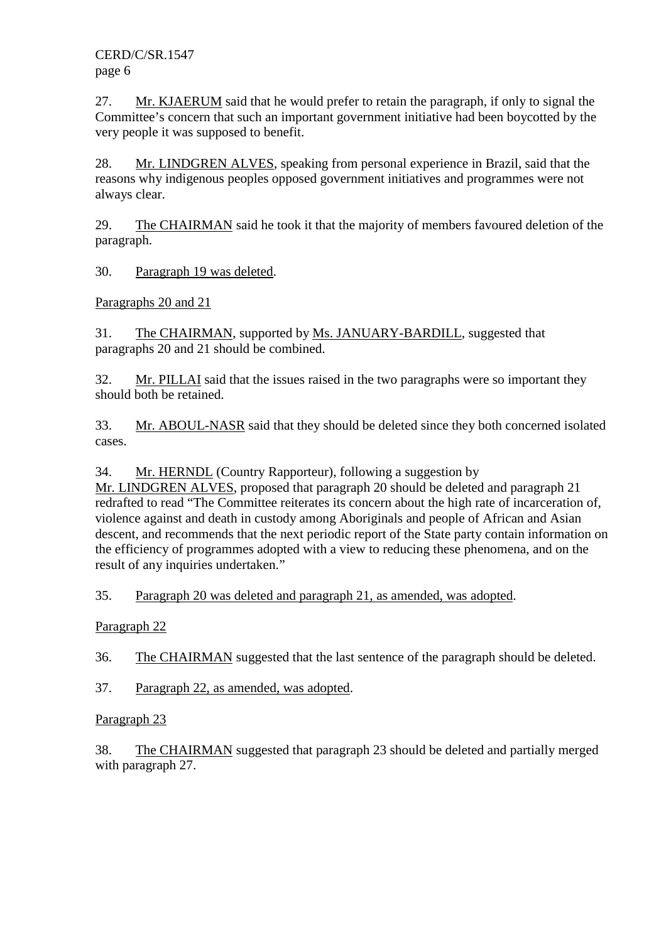27. Mr. KJAERUM said that he would prefer to retain the paragraph, if only to signal the Committee's concern that such an important government initiative had been boycotted by the very people it was supposed to benefit.

28. Mr. LINDGREN ALVES, speaking from personal experience in Brazil, said that the reasons why indigenous peoples opposed government initiatives and programmes were not always clear.

29. The CHAIRMAN said he took it that the majority of members favoured deletion of the paragraph.

30. Paragraph 19 was deleted.

Paragraphs 20 and 21

31. The CHAIRMAN, supported by Ms. JANUARY-BARDILL, suggested that paragraphs 20 and 21 should be combined.

32. Mr. PILLAI said that the issues raised in the two paragraphs were so important they should both be retained.

33. Mr. ABOUL-NASR said that they should be deleted since they both concerned isolated cases.

34. Mr. HERNDL (Country Rapporteur), following a suggestion by

Mr. LINDGREN ALVES, proposed that paragraph 20 should be deleted and paragraph 21 redrafted to read "The Committee reiterates its concern about the high rate of incarceration of, violence against and death in custody among Aboriginals and people of African and Asian descent, and recommends that the next periodic report of the State party contain information on the efficiency of programmes adopted with a view to reducing these phenomena, and on the result of any inquiries undertaken."

35. Paragraph 20 was deleted and paragraph 21, as amended, was adopted.

Paragraph 22

36. The CHAIRMAN suggested that the last sentence of the paragraph should be deleted.

37. Paragraph 22, as amended, was adopted.

Paragraph 23

38. The CHAIRMAN suggested that paragraph 23 should be deleted and partially merged with paragraph 27.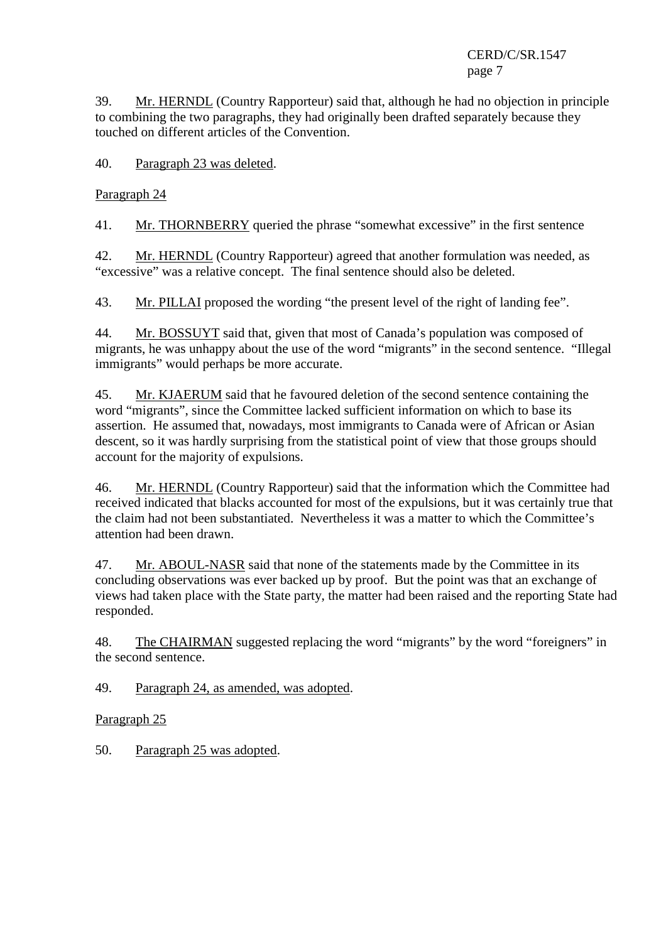39. Mr. HERNDL (Country Rapporteur) said that, although he had no objection in principle to combining the two paragraphs, they had originally been drafted separately because they touched on different articles of the Convention.

40. Paragraph 23 was deleted.

Paragraph 24

41. Mr. THORNBERRY queried the phrase "somewhat excessive" in the first sentence

42. Mr. HERNDL (Country Rapporteur) agreed that another formulation was needed, as "excessive" was a relative concept. The final sentence should also be deleted.

43. Mr. PILLAI proposed the wording "the present level of the right of landing fee".

44. Mr. BOSSUYT said that, given that most of Canada's population was composed of migrants, he was unhappy about the use of the word "migrants" in the second sentence. "Illegal immigrants" would perhaps be more accurate.

45. Mr. KJAERUM said that he favoured deletion of the second sentence containing the word "migrants", since the Committee lacked sufficient information on which to base its assertion. He assumed that, nowadays, most immigrants to Canada were of African or Asian descent, so it was hardly surprising from the statistical point of view that those groups should account for the majority of expulsions.

46. Mr. HERNDL (Country Rapporteur) said that the information which the Committee had received indicated that blacks accounted for most of the expulsions, but it was certainly true that the claim had not been substantiated. Nevertheless it was a matter to which the Committee's attention had been drawn.

47. Mr. ABOUL-NASR said that none of the statements made by the Committee in its concluding observations was ever backed up by proof. But the point was that an exchange of views had taken place with the State party, the matter had been raised and the reporting State had responded.

48. The CHAIRMAN suggested replacing the word "migrants" by the word "foreigners" in the second sentence.

49. Paragraph 24, as amended, was adopted.

Paragraph 25

50. Paragraph 25 was adopted.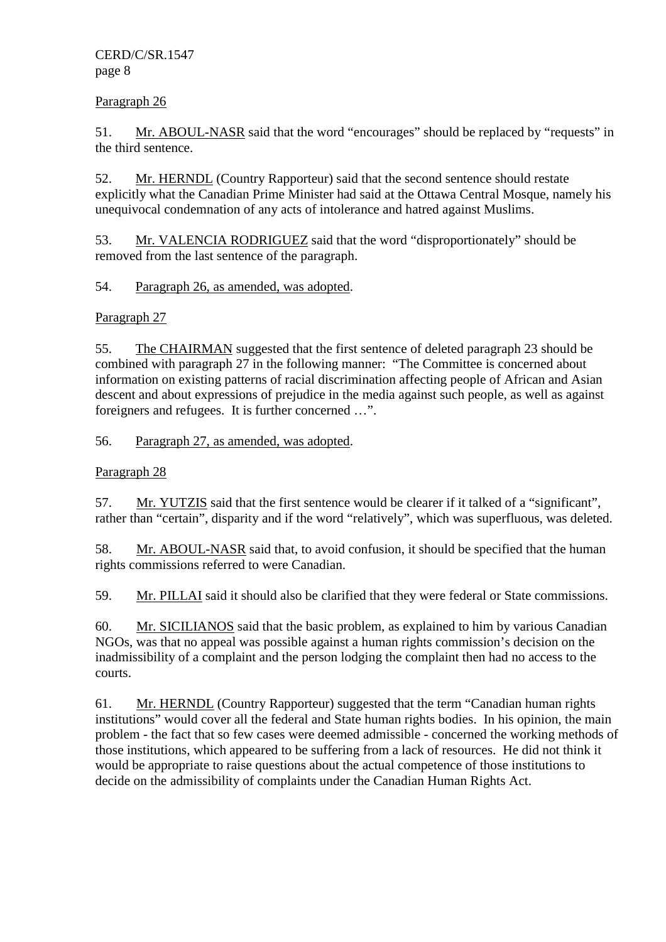Paragraph 26

51. Mr. ABOUL-NASR said that the word "encourages" should be replaced by "requests" in the third sentence.

52. Mr. HERNDL (Country Rapporteur) said that the second sentence should restate explicitly what the Canadian Prime Minister had said at the Ottawa Central Mosque, namely his unequivocal condemnation of any acts of intolerance and hatred against Muslims.

53. Mr. VALENCIA RODRIGUEZ said that the word "disproportionately" should be removed from the last sentence of the paragraph.

54. Paragraph 26, as amended, was adopted.

Paragraph 27

55. The CHAIRMAN suggested that the first sentence of deleted paragraph 23 should be combined with paragraph 27 in the following manner: "The Committee is concerned about information on existing patterns of racial discrimination affecting people of African and Asian descent and about expressions of prejudice in the media against such people, as well as against foreigners and refugees. It is further concerned …".

56. Paragraph 27, as amended, was adopted.

Paragraph 28

57. Mr. YUTZIS said that the first sentence would be clearer if it talked of a "significant", rather than "certain", disparity and if the word "relatively", which was superfluous, was deleted.

58. Mr. ABOUL-NASR said that, to avoid confusion, it should be specified that the human rights commissions referred to were Canadian.

59. Mr. PILLAI said it should also be clarified that they were federal or State commissions.

60. Mr. SICILIANOS said that the basic problem, as explained to him by various Canadian NGOs, was that no appeal was possible against a human rights commission's decision on the inadmissibility of a complaint and the person lodging the complaint then had no access to the courts.

61. Mr. HERNDL (Country Rapporteur) suggested that the term "Canadian human rights institutions" would cover all the federal and State human rights bodies. In his opinion, the main problem - the fact that so few cases were deemed admissible - concerned the working methods of those institutions, which appeared to be suffering from a lack of resources. He did not think it would be appropriate to raise questions about the actual competence of those institutions to decide on the admissibility of complaints under the Canadian Human Rights Act.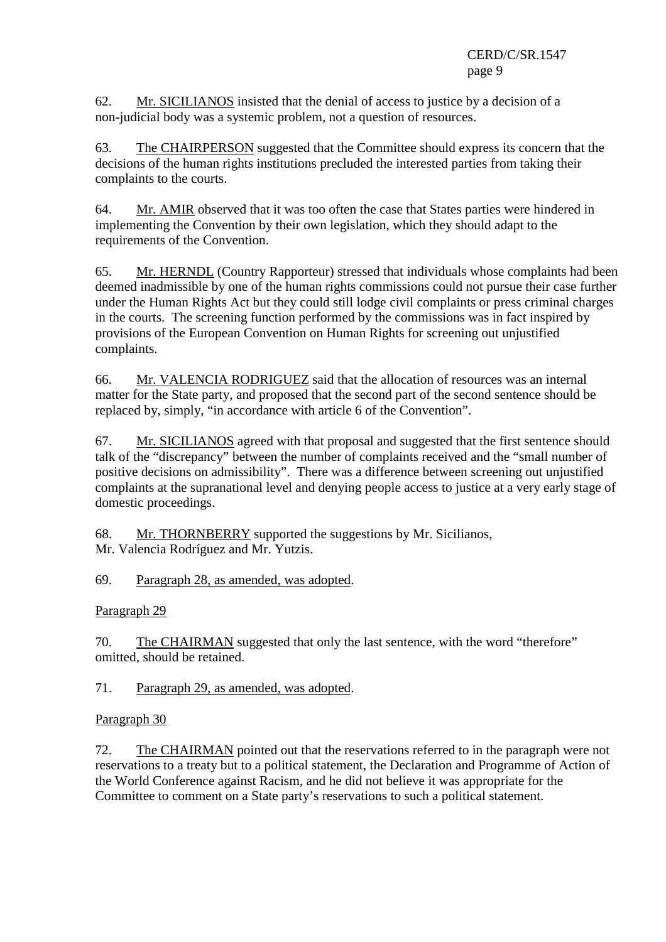62. Mr. SICILIANOS insisted that the denial of access to justice by a decision of a non-judicial body was a systemic problem, not a question of resources.

63. The CHAIRPERSON suggested that the Committee should express its concern that the decisions of the human rights institutions precluded the interested parties from taking their complaints to the courts.

64. Mr. AMIR observed that it was too often the case that States parties were hindered in implementing the Convention by their own legislation, which they should adapt to the requirements of the Convention.

65. Mr. HERNDL (Country Rapporteur) stressed that individuals whose complaints had been deemed inadmissible by one of the human rights commissions could not pursue their case further under the Human Rights Act but they could still lodge civil complaints or press criminal charges in the courts. The screening function performed by the commissions was in fact inspired by provisions of the European Convention on Human Rights for screening out unjustified complaints.

66. Mr. VALENCIA RODRIGUEZ said that the allocation of resources was an internal matter for the State party, and proposed that the second part of the second sentence should be replaced by, simply, "in accordance with article 6 of the Convention".

67. Mr. SICILIANOS agreed with that proposal and suggested that the first sentence should talk of the "discrepancy" between the number of complaints received and the "small number of positive decisions on admissibility". There was a difference between screening out unjustified complaints at the supranational level and denying people access to justice at a very early stage of domestic proceedings.

68. Mr. THORNBERRY supported the suggestions by Mr. Sicilianos, Mr. Valencia Rodríguez and Mr. Yutzis.

69. Paragraph 28, as amended, was adopted.

Paragraph 29

70. The CHAIRMAN suggested that only the last sentence, with the word "therefore" omitted, should be retained.

71. Paragraph 29, as amended, was adopted.

Paragraph 30

72. The CHAIRMAN pointed out that the reservations referred to in the paragraph were not reservations to a treaty but to a political statement, the Declaration and Programme of Action of the World Conference against Racism, and he did not believe it was appropriate for the Committee to comment on a State party's reservations to such a political statement.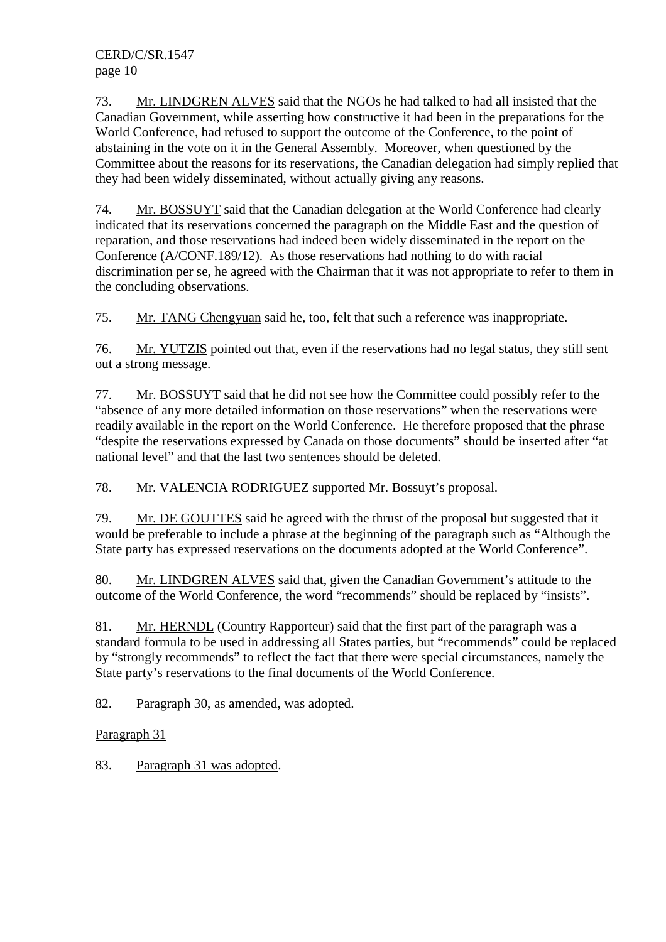73. Mr. LINDGREN ALVES said that the NGOs he had talked to had all insisted that the Canadian Government, while asserting how constructive it had been in the preparations for the World Conference, had refused to support the outcome of the Conference, to the point of abstaining in the vote on it in the General Assembly. Moreover, when questioned by the Committee about the reasons for its reservations, the Canadian delegation had simply replied that they had been widely disseminated, without actually giving any reasons.

74. Mr. BOSSUYT said that the Canadian delegation at the World Conference had clearly indicated that its reservations concerned the paragraph on the Middle East and the question of reparation, and those reservations had indeed been widely disseminated in the report on the Conference (A/CONF.189/12). As those reservations had nothing to do with racial discrimination per se, he agreed with the Chairman that it was not appropriate to refer to them in the concluding observations.

75. Mr. TANG Chengyuan said he, too, felt that such a reference was inappropriate.

76. Mr. YUTZIS pointed out that, even if the reservations had no legal status, they still sent out a strong message.

77. Mr. BOSSUYT said that he did not see how the Committee could possibly refer to the "absence of any more detailed information on those reservations" when the reservations were readily available in the report on the World Conference. He therefore proposed that the phrase "despite the reservations expressed by Canada on those documents" should be inserted after "at national level" and that the last two sentences should be deleted.

78. Mr. VALENCIA RODRIGUEZ supported Mr. Bossuyt's proposal.

79. Mr. DE GOUTTES said he agreed with the thrust of the proposal but suggested that it would be preferable to include a phrase at the beginning of the paragraph such as "Although the State party has expressed reservations on the documents adopted at the World Conference".

80. Mr. LINDGREN ALVES said that, given the Canadian Government's attitude to the outcome of the World Conference, the word "recommends" should be replaced by "insists".

81. Mr. HERNDL (Country Rapporteur) said that the first part of the paragraph was a standard formula to be used in addressing all States parties, but "recommends" could be replaced by "strongly recommends" to reflect the fact that there were special circumstances, namely the State party's reservations to the final documents of the World Conference.

82. Paragraph 30, as amended, was adopted.

Paragraph 31

83. Paragraph 31 was adopted.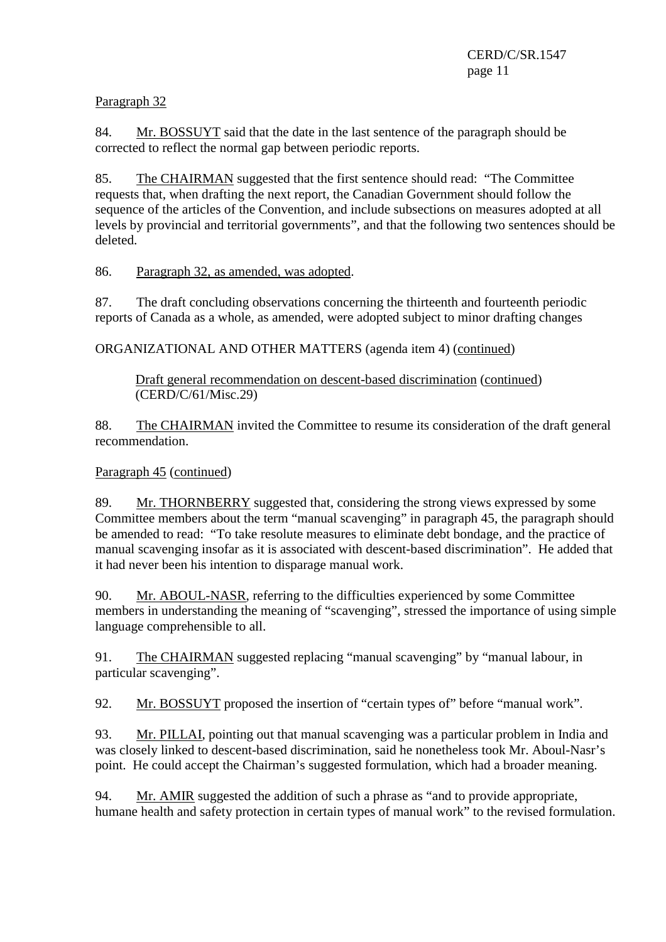Paragraph 32

84. Mr. BOSSUYT said that the date in the last sentence of the paragraph should be corrected to reflect the normal gap between periodic reports.

85. The CHAIRMAN suggested that the first sentence should read: "The Committee requests that, when drafting the next report, the Canadian Government should follow the sequence of the articles of the Convention, and include subsections on measures adopted at all levels by provincial and territorial governments", and that the following two sentences should be deleted.

86. Paragraph 32, as amended, was adopted.

87. The draft concluding observations concerning the thirteenth and fourteenth periodic reports of Canada as a whole, as amended, were adopted subject to minor drafting changes

ORGANIZATIONAL AND OTHER MATTERS (agenda item 4) (continued)

Draft general recommendation on descent-based discrimination (continued) (CERD/C/61/Misc.29)

88. The CHAIRMAN invited the Committee to resume its consideration of the draft general recommendation.

Paragraph 45 (continued)

89. Mr. THORNBERRY suggested that, considering the strong views expressed by some Committee members about the term "manual scavenging" in paragraph 45, the paragraph should be amended to read: "To take resolute measures to eliminate debt bondage, and the practice of manual scavenging insofar as it is associated with descent-based discrimination". He added that it had never been his intention to disparage manual work.

90. Mr. ABOUL-NASR, referring to the difficulties experienced by some Committee members in understanding the meaning of "scavenging", stressed the importance of using simple language comprehensible to all.

91. The CHAIRMAN suggested replacing "manual scavenging" by "manual labour, in particular scavenging".

92. Mr. BOSSUYT proposed the insertion of "certain types of" before "manual work".

93. Mr. PILLAI, pointing out that manual scavenging was a particular problem in India and was closely linked to descent-based discrimination, said he nonetheless took Mr. Aboul-Nasr's point. He could accept the Chairman's suggested formulation, which had a broader meaning.

94. Mr. AMIR suggested the addition of such a phrase as "and to provide appropriate, humane health and safety protection in certain types of manual work" to the revised formulation.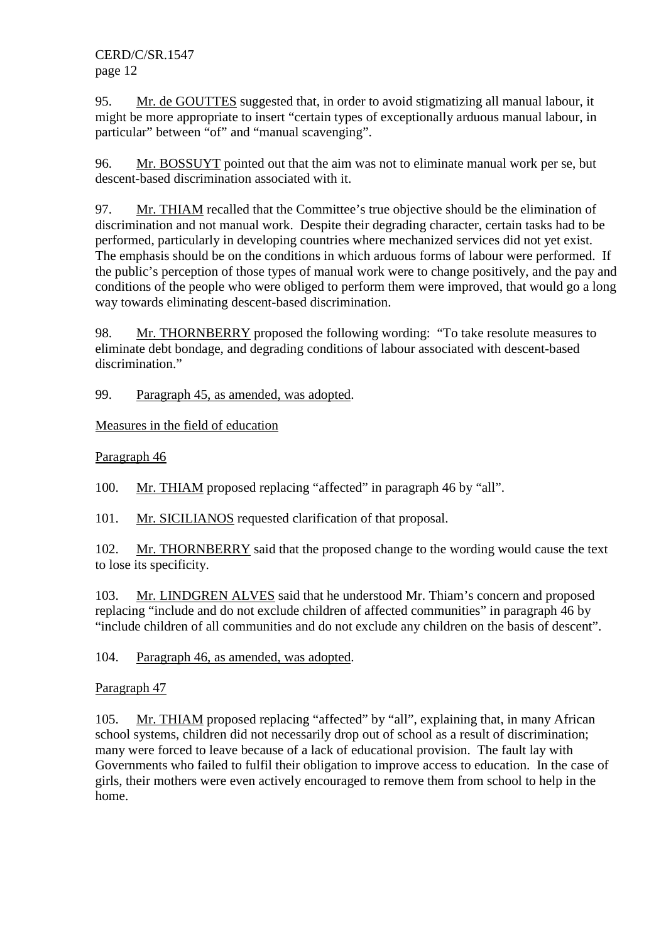95. Mr. de GOUTTES suggested that, in order to avoid stigmatizing all manual labour, it might be more appropriate to insert "certain types of exceptionally arduous manual labour, in particular" between "of" and "manual scavenging".

96. Mr. BOSSUYT pointed out that the aim was not to eliminate manual work per se, but descent-based discrimination associated with it.

97. Mr. THIAM recalled that the Committee's true objective should be the elimination of discrimination and not manual work. Despite their degrading character, certain tasks had to be performed, particularly in developing countries where mechanized services did not yet exist. The emphasis should be on the conditions in which arduous forms of labour were performed. If the public's perception of those types of manual work were to change positively, and the pay and conditions of the people who were obliged to perform them were improved, that would go a long way towards eliminating descent-based discrimination.

98. Mr. THORNBERRY proposed the following wording: "To take resolute measures to eliminate debt bondage, and degrading conditions of labour associated with descent-based discrimination."

99. Paragraph 45, as amended, was adopted.

Measures in the field of education

Paragraph 46

100. Mr. THIAM proposed replacing "affected" in paragraph 46 by "all".

101. Mr. SICILIANOS requested clarification of that proposal.

102. Mr. THORNBERRY said that the proposed change to the wording would cause the text to lose its specificity.

103. Mr. LINDGREN ALVES said that he understood Mr. Thiam's concern and proposed replacing "include and do not exclude children of affected communities" in paragraph 46 by "include children of all communities and do not exclude any children on the basis of descent".

104. Paragraph 46, as amended, was adopted.

# Paragraph 47

105. Mr. THIAM proposed replacing "affected" by "all", explaining that, in many African school systems, children did not necessarily drop out of school as a result of discrimination; many were forced to leave because of a lack of educational provision. The fault lay with Governments who failed to fulfil their obligation to improve access to education. In the case of girls, their mothers were even actively encouraged to remove them from school to help in the home.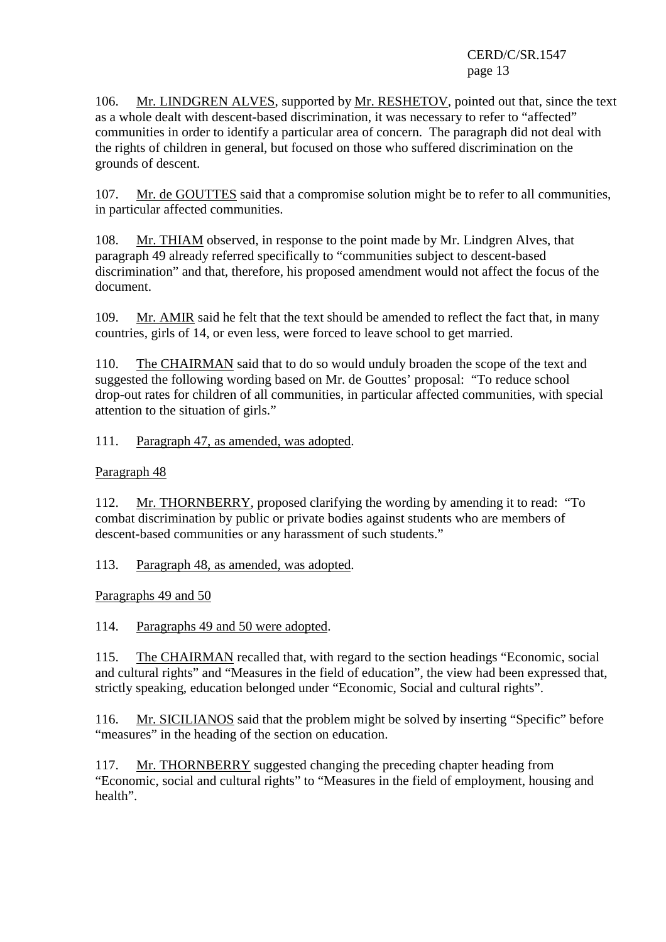106. Mr. LINDGREN ALVES, supported by Mr. RESHETOV, pointed out that, since the text as a whole dealt with descent-based discrimination, it was necessary to refer to "affected" communities in order to identify a particular area of concern. The paragraph did not deal with the rights of children in general, but focused on those who suffered discrimination on the grounds of descent.

107. Mr. de GOUTTES said that a compromise solution might be to refer to all communities, in particular affected communities.

108. Mr. THIAM observed, in response to the point made by Mr. Lindgren Alves, that paragraph 49 already referred specifically to "communities subject to descent-based discrimination" and that, therefore, his proposed amendment would not affect the focus of the document.

109. Mr. AMIR said he felt that the text should be amended to reflect the fact that, in many countries, girls of 14, or even less, were forced to leave school to get married.

110. The CHAIRMAN said that to do so would unduly broaden the scope of the text and suggested the following wording based on Mr. de Gouttes' proposal: "To reduce school drop-out rates for children of all communities, in particular affected communities, with special attention to the situation of girls."

111. Paragraph 47, as amended, was adopted.

Paragraph 48

112. Mr. THORNBERRY, proposed clarifying the wording by amending it to read: "To combat discrimination by public or private bodies against students who are members of descent-based communities or any harassment of such students."

113. Paragraph 48, as amended, was adopted.

Paragraphs 49 and 50

114. Paragraphs 49 and 50 were adopted.

115. The CHAIRMAN recalled that, with regard to the section headings "Economic, social and cultural rights" and "Measures in the field of education", the view had been expressed that, strictly speaking, education belonged under "Economic, Social and cultural rights".

116. Mr. SICILIANOS said that the problem might be solved by inserting "Specific" before "measures" in the heading of the section on education.

117. Mr. THORNBERRY suggested changing the preceding chapter heading from "Economic, social and cultural rights" to "Measures in the field of employment, housing and health".